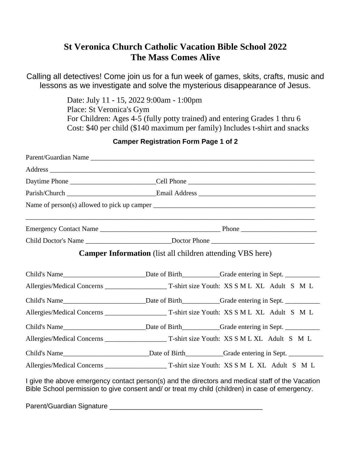# **St Veronica Church Catholic Vacation Bible School 2022 The Mass Comes Alive**

Calling all detectives! Come join us for a fun week of games, skits, crafts, music and lessons as we investigate and solve the mysterious disappearance of Jesus.

> Date: July 11 - 15, 2022 9:00am - 1:00pm Place: St Veronica's Gym For Children: Ages 4-5 (fully potty trained) and entering Grades 1 thru 6 Cost: \$40 per child (\$140 maximum per family) Includes t-shirt and snacks

| Parent/Guardian Name |                                                                                                                                                                                                                                |                                                                                                                                                                                                     |
|----------------------|--------------------------------------------------------------------------------------------------------------------------------------------------------------------------------------------------------------------------------|-----------------------------------------------------------------------------------------------------------------------------------------------------------------------------------------------------|
|                      |                                                                                                                                                                                                                                |                                                                                                                                                                                                     |
|                      | Daytime Phone _______________________________Cell Phone _________________________                                                                                                                                              |                                                                                                                                                                                                     |
|                      | Parish/Church Church Church Church Church Church Church Church Church Church Church Church Church Church Church Church Church Church Church Church Church Church Church Church Church Church Church Church Church Church Churc |                                                                                                                                                                                                     |
|                      |                                                                                                                                                                                                                                |                                                                                                                                                                                                     |
|                      |                                                                                                                                                                                                                                |                                                                                                                                                                                                     |
|                      | Child Doctor's Name ________________________________Doctor Phone ___________________________________                                                                                                                           |                                                                                                                                                                                                     |
|                      | <b>Camper Information</b> (list all children attending VBS here)                                                                                                                                                               |                                                                                                                                                                                                     |
|                      |                                                                                                                                                                                                                                |                                                                                                                                                                                                     |
|                      |                                                                                                                                                                                                                                |                                                                                                                                                                                                     |
|                      |                                                                                                                                                                                                                                | Child's Name______________________________Date of Birth____________Grade entering in Sept.                                                                                                          |
|                      |                                                                                                                                                                                                                                |                                                                                                                                                                                                     |
|                      |                                                                                                                                                                                                                                | Child's Name______________________________Date of Birth___________Grade entering in Sept.                                                                                                           |
|                      |                                                                                                                                                                                                                                |                                                                                                                                                                                                     |
|                      |                                                                                                                                                                                                                                | Child's Name______________________________Date of Birth___________Grade entering in Sept.                                                                                                           |
|                      |                                                                                                                                                                                                                                |                                                                                                                                                                                                     |
|                      |                                                                                                                                                                                                                                | I give the above emergency contact person(s) and the directors and medical staff of the Vacation<br>Bible School permission to give consent and/ or treat my child (children) in case of emergency. |

## **Camper Registration Form Page 1 of 2**

Parent/Guardian Signature \_\_\_\_\_\_\_\_\_\_\_\_\_\_\_\_\_\_\_\_\_\_\_\_\_\_\_\_\_\_\_\_\_\_\_\_\_\_\_\_